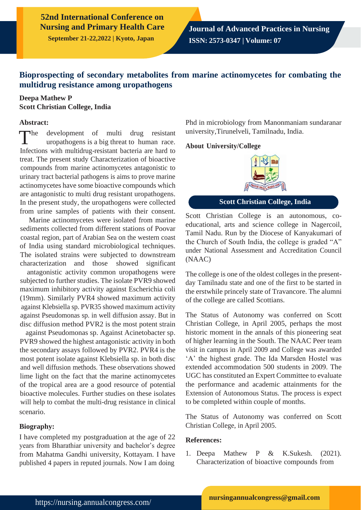**September 21-22,2022 | Kyoto, Japan**

# **Bioprospecting of secondary metabolites from marine actinomycetes for combating the multidrug resistance among uropathogens**

## **Deepa Mathew P Scott Christian College, India**

#### **Abstract:**

 $\blacksquare$ development of multi drug resistant uropathogens is a big threat to human race. Infections with multidrug-resistant bacteria are hard to treat. The present study Characterization of bioactive compounds from marine actinomycetes antagonistic to urinary tract bacterial pathogens is aims to prove marine actinomycetes have some bioactive compounds which are antagonistic to multi drug resistant uropathogens. In the present study, the uropathogens were collected from urine samples of patients with their consent.

Marine actinomycetes were isolated from marine sediments collected from different stations of Poovar coastal region, part of Arabian Sea on the western coast of India using standard microbiological techniques. The isolated strains were subjected to downstream characterization and those showed significant

antagonistic activity common uropathogens were subjected to further studies. The isolate PVR9 showed maximum inhibitory activity against Escherichia coli (19mm). Similarly PVR4 showed maximum activity against Klebsiella sp. PVR35 showed maximum activity against Pseudomonas sp. in well diffusion assay. But in disc diffusion method PVR2 is the most potent strain

against Pseudomonas sp. Against Acinetobacter sp. PVR9 showed the highest antagonistic activity in both the secondary assays followed by PVR2. PVR4 is the most potent isolate against Klebsiella sp. in both disc and well diffusion methods. These observations showed lime light on the fact that the marine actinomycetes of the tropical area are a good resource of potential bioactive molecules. Further studies on these isolates will help to combat the multi-drug resistance in clinical scenario.

### **Biography:**

I have completed my postgraduation at the age of 22 years from Bharathiar university and bachelor's degree from Mahatma Gandhi university, Kottayam. I have published 4 papers in reputed journals. Now I am doing

Phd in microbiology from Manonmaniam sundaranar university,Tirunelveli, Tamilnadu, India.

#### **About University/College**



**Scott Christian College, India**

Scott Christian College is an autonomous, coeducational, arts and science college in Nagercoil, Tamil Nadu. Run by the Diocese of Kanyakumari of the Church of South India, the college is graded "A" under National Assessment and Accreditation Council (NAAC)

The college is one of the oldest colleges in the presentday Tamilnadu state and one of the first to be started in the erstwhile princely state of Travancore. The alumni of the college are called Scottians.

The Status of Autonomy was conferred on Scott Christian College, in April 2005, perhaps the most historic moment in the annals of this pioneering seat of higher learning in the South. The NAAC Peer team visit in campus in April 2009 and College was awarded 'A' the highest grade. The Ida Marsden Hostel was extended accommodation 500 students in 2009. The UGC has constituted an Expert Committee to evaluate the performance and academic attainments for the Extension of Autonomous Status. The process is expect to be completed within couple of months.

The Status of Autonomy was conferred on Scott Christian College, in April 2005.

### **References:**

1. Deepa Mathew P & K.Sukesh. (2021). Characterization of bioactive compounds from